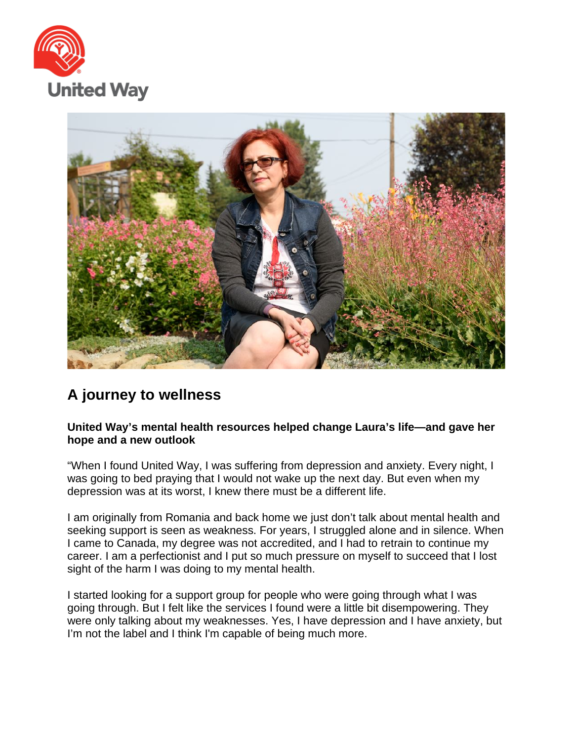



## **A journey to wellness**

## **United Way's mental health resources helped change Laura's life—and gave her hope and a new outlook**

"When I found United Way, I was suffering from depression and anxiety. Every night, I was going to bed praying that I would not wake up the next day. But even when my depression was at its worst, I knew there must be a different life.

I am originally from Romania and back home we just don't talk about mental health and seeking support is seen as weakness. For years, I struggled alone and in silence. When I came to Canada, my degree was not accredited, and I had to retrain to continue my career. I am a perfectionist and I put so much pressure on myself to succeed that I lost sight of the harm I was doing to my mental health.

I started looking for a support group for people who were going through what I was going through. But I felt like the services I found were a little bit disempowering. They were only talking about my weaknesses. Yes, I have depression and I have anxiety, but I'm not the label and I think I'm capable of being much more.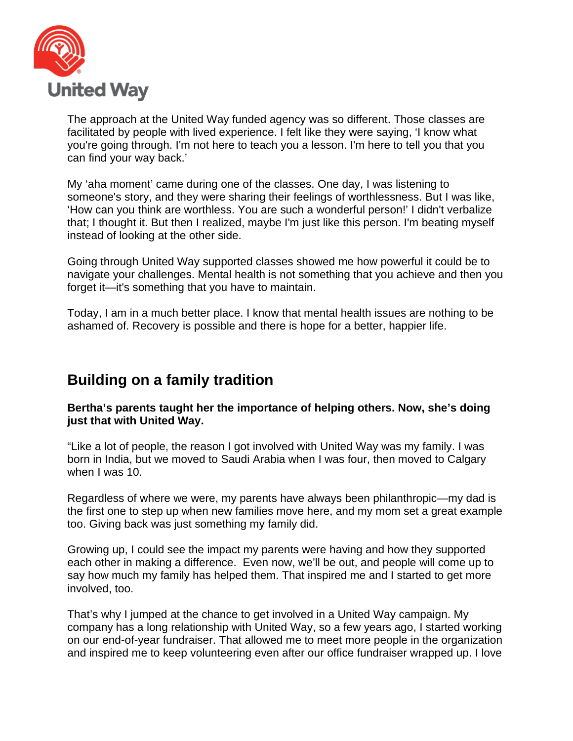

The approach at the United Way funded agency was so different. Those classes are facilitated by people with lived experience. I felt like they were saying, 'I know what you're going through. I'm not here to teach you a lesson. I'm here to tell you that you can find your way back.'

My 'aha moment' came during one of the classes. One day, I was listening to someone's story, and they were sharing their feelings of worthlessness. But I was like, 'How can you think are worthless. You are such a wonderful person!' I didn't verbalize that; I thought it. But then I realized, maybe I'm just like this person. I'm beating myself instead of looking at the other side.

Going through United Way supported classes showed me how powerful it could be to navigate your challenges. Mental health is not something that you achieve and then you forget it—it's something that you have to maintain.

Today, I am in a much better place. I know that mental health issues are nothing to be ashamed of. Recovery is possible and there is hope for a better, happier life.

## **Building on a family tradition**

**Bertha's parents taught her the importance of helping others. Now, she's doing just that with United Way.**

"Like a lot of people, the reason I got involved with United Way was my family. I was born in India, but we moved to Saudi Arabia when I was four, then moved to Calgary when I was 10.

Regardless of where we were, my parents have always been philanthropic—my dad is the first one to step up when new families move here, and my mom set a great example too. Giving back was just something my family did.

Growing up, I could see the impact my parents were having and how they supported each other in making a difference. Even now, we'll be out, and people will come up to say how much my family has helped them. That inspired me and I started to get more involved, too.

That's why I jumped at the chance to get involved in a United Way campaign. My company has a long relationship with United Way, so a few years ago, I started working on our end-of-year fundraiser. That allowed me to meet more people in the organization and inspired me to keep volunteering even after our office fundraiser wrapped up. I love